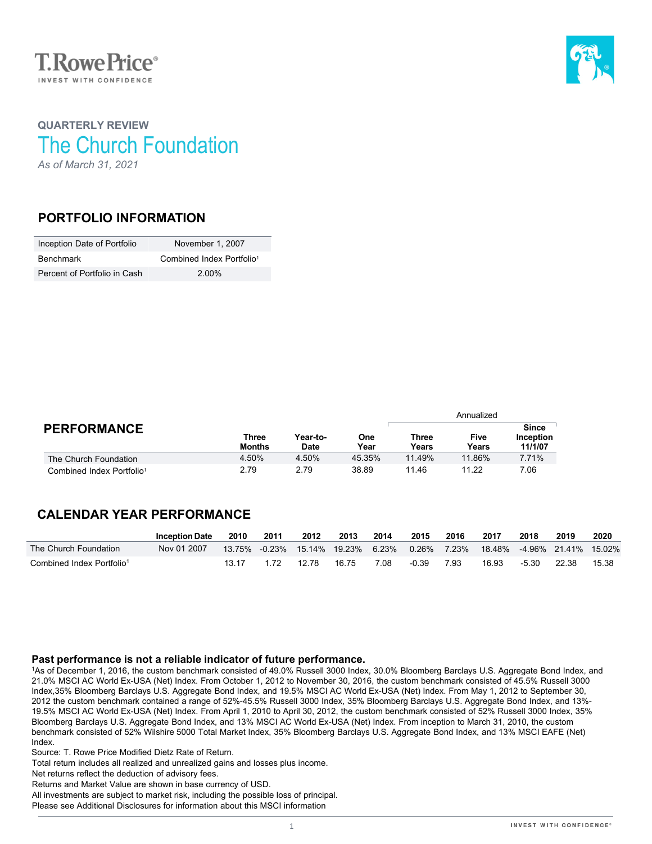



## **QUARTERLY REVIEW** The Church Foundation *As of March 31, 2021*

### **PORTFOLIO INFORMATION**

| Inception Date of Portfolio  | November 1, 2007                      |
|------------------------------|---------------------------------------|
| Benchmark                    | Combined Index Portfolio <sup>1</sup> |
| Percent of Portfolio in Cash | 2.00%                                 |

|                                       |                        |                         |             | Annualized     |               |                                      |  |
|---------------------------------------|------------------------|-------------------------|-------------|----------------|---------------|--------------------------------------|--|
| <b>PERFORMANCE</b>                    | Three<br><b>Months</b> | Year-to-<br><b>Date</b> | One<br>Year | Three<br>Years | Five<br>Years | <b>Since</b><br>Inception<br>11/1/07 |  |
| The Church Foundation                 | 4.50%                  | 4.50%                   | 45.35%      | 11.49%         | 11.86%        | 7.71%                                |  |
| Combined Index Portfolio <sup>1</sup> | 2.79                   | 2.79                    | 38.89       | 11.46          | 11.22         | 7.06                                 |  |

## **CALENDAR YEAR PERFORMANCE**

|                                       | <b>Inception Date</b> | 2010 | 2011 | 2012                        | 2013  | 2014  | 2015    | 2016        | 2017  | 2018  | 2019                        | 2020  |
|---------------------------------------|-----------------------|------|------|-----------------------------|-------|-------|---------|-------------|-------|-------|-----------------------------|-------|
| The Church Foundation                 | Nov 01 2007           |      |      | 13.75% -0.23% 15.14% 19.23% |       | 6.23% |         | 0.26% 7.23% |       |       | 18.48% -4.96% 21.41% 15.02% |       |
| Combined Index Portfolio <sup>1</sup> |                       |      |      | 12.78                       | 16.75 | 7.08  | $-0.39$ | 7.93        | 16.93 | -5.30 | - 22.38                     | 15.38 |

### **Past performance is not a reliable indicator of future performance.**

1As of December 1, 2016, the custom benchmark consisted of 49.0% Russell 3000 Index, 30.0% Bloomberg Barclays U.S. Aggregate Bond Index, and 21.0% MSCI AC World Ex-USA (Net) Index. From October 1, 2012 to November 30, 2016, the custom benchmark consisted of 45.5% Russell 3000 Index,35% Bloomberg Barclays U.S. Aggregate Bond Index, and 19.5% MSCI AC World Ex-USA (Net) Index. From May 1, 2012 to September 30, 2012 the custom benchmark contained a range of 52%-45.5% Russell 3000 Index, 35% Bloomberg Barclays U.S. Aggregate Bond Index, and 13%- 19.5% MSCI AC World Ex-USA (Net) Index. From April 1, 2010 to April 30, 2012, the custom benchmark consisted of 52% Russell 3000 Index, 35% Bloomberg Barclays U.S. Aggregate Bond Index, and 13% MSCI AC World Ex-USA (Net) Index. From inception to March 31, 2010, the custom benchmark consisted of 52% Wilshire 5000 Total Market Index, 35% Bloomberg Barclays U.S. Aggregate Bond Index, and 13% MSCI EAFE (Net) Index.

Source: T. Rowe Price Modified Dietz Rate of Return.

Total return includes all realized and unrealized gains and losses plus income.

Net returns reflect the deduction of advisory fees.

Returns and Market Value are shown in base currency of USD.

All investments are subject to market risk, including the possible loss of principal.

Please see Additional Disclosures for information about this MSCI information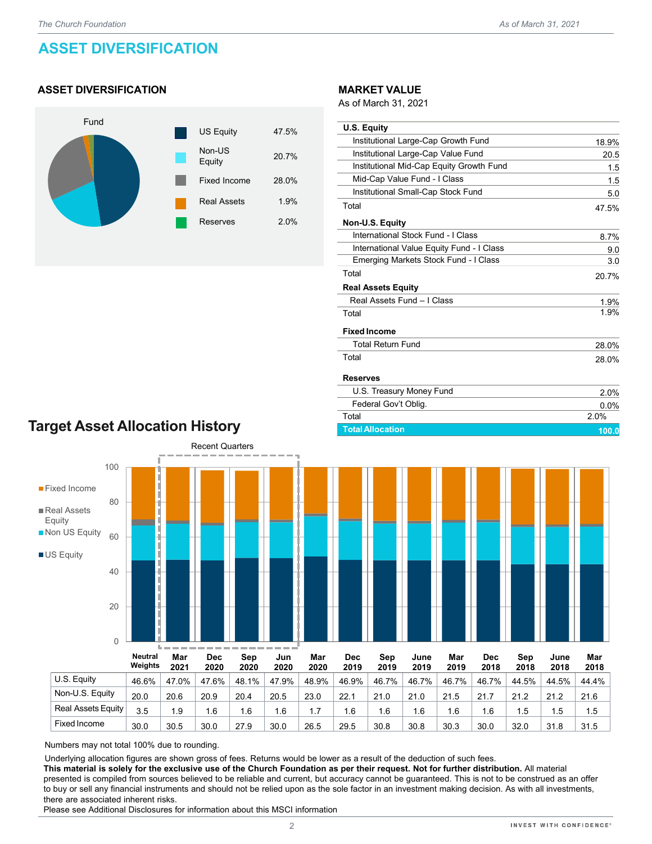# **ASSET DIVERSIFICATION**

### **ASSET DIVERSIFICATION**



#### **MARKET VALUE**

As of March 31, 2021

| <b>U.S. Equity</b>                        |         |
|-------------------------------------------|---------|
| Institutional Large-Cap Growth Fund       | 18.9%   |
| Institutional Large-Cap Value Fund        | 20.5    |
| Institutional Mid-Cap Equity Growth Fund  | 1.5     |
| Mid-Cap Value Fund - I Class              | 1.5     |
| Institutional Small-Cap Stock Fund        | 5.0     |
| Total                                     | 47.5%   |
| Non-U.S. Equity                           |         |
| International Stock Fund - I Class        | 8.7%    |
| International Value Equity Fund - I Class | 9.0     |
| Emerging Markets Stock Fund - I Class     | 3.0     |
| Total                                     | 20.7%   |
| <b>Real Assets Equity</b>                 |         |
| Real Assets Fund - I Class                | 1.9%    |
| Total                                     | 1.9%    |
| <b>Fixed Income</b>                       |         |
| <b>Total Return Fund</b>                  | 28.0%   |
| Total                                     | 28.0%   |
| <b>Reserves</b>                           |         |
| U.S. Treasury Money Fund                  | 2.0%    |
| Federal Gov't Oblig.                      | $0.0\%$ |
| Total                                     | 2.0%    |

**Total Allocation 100.0**

## **Target Asset Allocation History**



Numbers may not total 100% due to rounding.

Underlying allocation figures are shown gross of fees. Returns would be lower as a result of the deduction of such fees.

**This material is solely for the exclusive use of the Church Foundation as per their request. Not for further distribution.** All material presented is compiled from sources believed to be reliable and current, but accuracy cannot be guaranteed. This is not to be construed as an offer to buy or sell any financial instruments and should not be relied upon as the sole factor in an investment making decision. As with all investments, there are associated inherent risks.

Fixed Income 30.0 30.5 30.0 27.9 30.0 26.5 29.5 30.8 30.8 30.3 30.0 32.0 31.8 31.5

Please see Additional Disclosures for information about this MSCI information

2